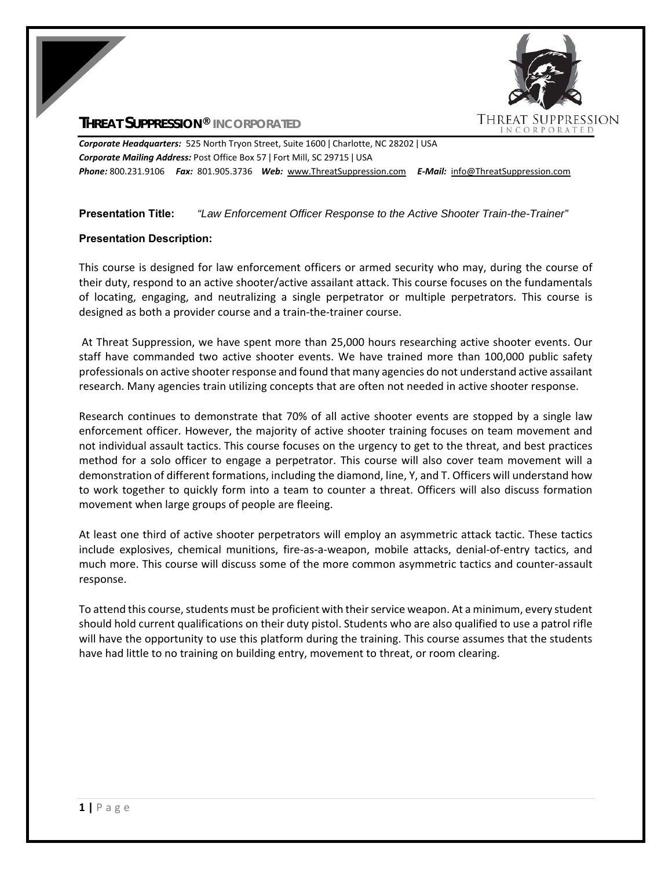# **THREAT SUPPRESSION® INCORPORATED**



*Corporate Headquarters:* 525 North Tryon Street, Suite 1600 ǀ Charlotte, NC 28202 ǀ USA *Corporate Mailing Address:* Post Office Box 57 ǀ Fort Mill, SC 29715 ǀ USA *Phone:* 800.231.9106  *Fax:* 801.905.3736 *Web:* www.ThreatSuppression.com *E‐Mail:*  info@ThreatSuppression.com

### **Presentation Title:** *"Law Enforcement Officer Response to the Active Shooter Train-the-Trainer"*

## **Presentation Description:**

This course is designed for law enforcement officers or armed security who may, during the course of their duty, respond to an active shooter/active assailant attack. This course focuses on the fundamentals of locating, engaging, and neutralizing a single perpetrator or multiple perpetrators. This course is designed as both a provider course and a train‐the‐trainer course.

 At Threat Suppression, we have spent more than 25,000 hours researching active shooter events. Our staff have commanded two active shooter events. We have trained more than 100,000 public safety professionals on active shooter response and found that many agencies do not understand active assailant research. Many agencies train utilizing concepts that are often not needed in active shooter response.

Research continues to demonstrate that 70% of all active shooter events are stopped by a single law enforcement officer. However, the majority of active shooter training focuses on team movement and not individual assault tactics. This course focuses on the urgency to get to the threat, and best practices method for a solo officer to engage a perpetrator. This course will also cover team movement will a demonstration of different formations, including the diamond, line, Y, and T. Officers will understand how to work together to quickly form into a team to counter a threat. Officers will also discuss formation movement when large groups of people are fleeing.

At least one third of active shooter perpetrators will employ an asymmetric attack tactic. These tactics include explosives, chemical munitions, fire‐as‐a‐weapon, mobile attacks, denial‐of‐entry tactics, and much more. This course will discuss some of the more common asymmetric tactics and counter‐assault response.

To attend this course, students must be proficient with their service weapon. At a minimum, every student should hold current qualifications on their duty pistol. Students who are also qualified to use a patrol rifle will have the opportunity to use this platform during the training. This course assumes that the students have had little to no training on building entry, movement to threat, or room clearing.